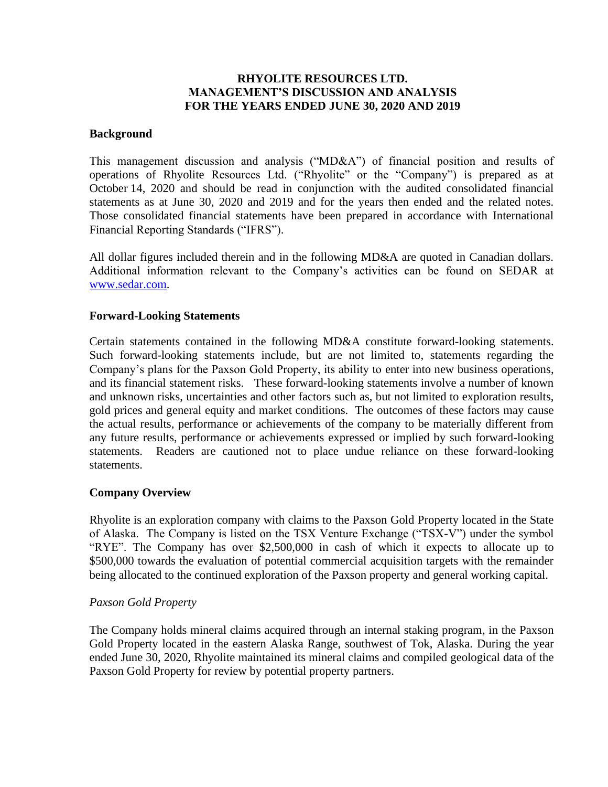## **RHYOLITE RESOURCES LTD. MANAGEMENT'S DISCUSSION AND ANALYSIS FOR THE YEARS ENDED JUNE 30, 2020 AND 2019**

### **Background**

This management discussion and analysis ("MD&A") of financial position and results of operations of Rhyolite Resources Ltd. ("Rhyolite" or the "Company") is prepared as at October 14, 2020 and should be read in conjunction with the audited consolidated financial statements as at June 30, 2020 and 2019 and for the years then ended and the related notes. Those consolidated financial statements have been prepared in accordance with International Financial Reporting Standards ("IFRS").

All dollar figures included therein and in the following MD&A are quoted in Canadian dollars. Additional information relevant to the Company's activities can be found on SEDAR at [www.sedar.com.](http://www.sedar.com/)

## **Forward-Looking Statements**

Certain statements contained in the following MD&A constitute forward-looking statements. Such forward-looking statements include, but are not limited to, statements regarding the Company's plans for the Paxson Gold Property, its ability to enter into new business operations, and its financial statement risks. These forward-looking statements involve a number of known and unknown risks, uncertainties and other factors such as, but not limited to exploration results, gold prices and general equity and market conditions. The outcomes of these factors may cause the actual results, performance or achievements of the company to be materially different from any future results, performance or achievements expressed or implied by such forward-looking statements. Readers are cautioned not to place undue reliance on these forward-looking statements.

## **Company Overview**

Rhyolite is an exploration company with claims to the Paxson Gold Property located in the State of Alaska. The Company is listed on the TSX Venture Exchange ("TSX-V") under the symbol "RYE". The Company has over \$2,500,000 in cash of which it expects to allocate up to \$500,000 towards the evaluation of potential commercial acquisition targets with the remainder being allocated to the continued exploration of the Paxson property and general working capital.

## *Paxson Gold Property*

The Company holds mineral claims acquired through an internal staking program, in the Paxson Gold Property located in the eastern Alaska Range, southwest of Tok, Alaska. During the year ended June 30, 2020, Rhyolite maintained its mineral claims and compiled geological data of the Paxson Gold Property for review by potential property partners.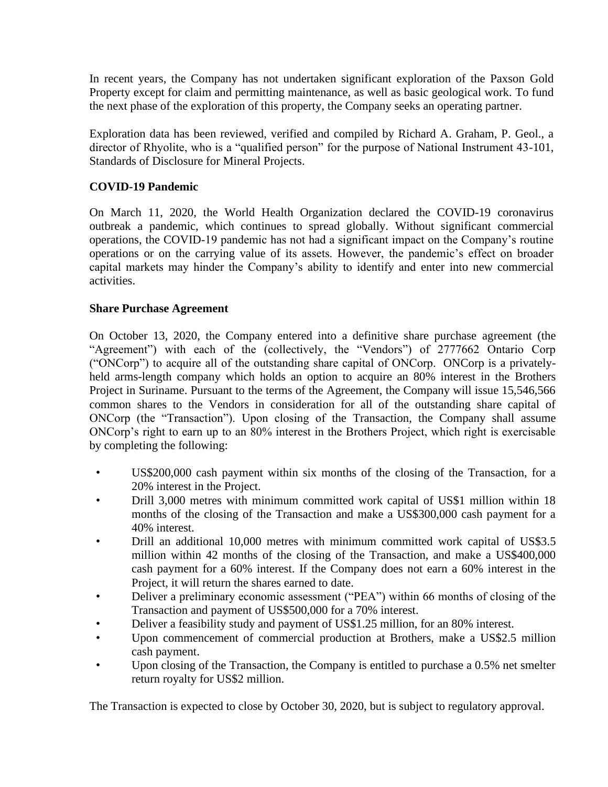In recent years, the Company has not undertaken significant exploration of the Paxson Gold Property except for claim and permitting maintenance, as well as basic geological work. To fund the next phase of the exploration of this property, the Company seeks an operating partner.

Exploration data has been reviewed, verified and compiled by Richard A. Graham, P. Geol., a director of Rhyolite, who is a "qualified person" for the purpose of National Instrument 43-101, Standards of Disclosure for Mineral Projects.

# **COVID-19 Pandemic**

On March 11, 2020, the World Health Organization declared the COVID-19 coronavirus outbreak a pandemic, which continues to spread globally. Without significant commercial operations, the COVID-19 pandemic has not had a significant impact on the Company's routine operations or on the carrying value of its assets. However, the pandemic's effect on broader capital markets may hinder the Company's ability to identify and enter into new commercial activities.

# **Share Purchase Agreement**

On October 13, 2020, the Company entered into a definitive share purchase agreement (the "Agreement") with each of the (collectively, the "Vendors") of 2777662 Ontario Corp ("ONCorp") to acquire all of the outstanding share capital of ONCorp. ONCorp is a privatelyheld arms-length company which holds an option to acquire an 80% interest in the Brothers Project in Suriname. Pursuant to the terms of the Agreement, the Company will issue 15,546,566 common shares to the Vendors in consideration for all of the outstanding share capital of ONCorp (the "Transaction"). Upon closing of the Transaction, the Company shall assume ONCorp's right to earn up to an 80% interest in the Brothers Project, which right is exercisable by completing the following:

- US\$200,000 cash payment within six months of the closing of the Transaction, for a 20% interest in the Project.
- Drill 3,000 metres with minimum committed work capital of US\$1 million within 18 months of the closing of the Transaction and make a US\$300,000 cash payment for a 40% interest.
- Drill an additional 10,000 metres with minimum committed work capital of US\$3.5 million within 42 months of the closing of the Transaction, and make a US\$400,000 cash payment for a 60% interest. If the Company does not earn a 60% interest in the Project, it will return the shares earned to date.
- Deliver a preliminary economic assessment ("PEA") within 66 months of closing of the Transaction and payment of US\$500,000 for a 70% interest.
- Deliver a feasibility study and payment of US\$1.25 million, for an 80% interest.
- Upon commencement of commercial production at Brothers, make a US\$2.5 million cash payment.
- Upon closing of the Transaction, the Company is entitled to purchase a 0.5% net smelter return royalty for US\$2 million.

The Transaction is expected to close by October 30, 2020, but is subject to regulatory approval.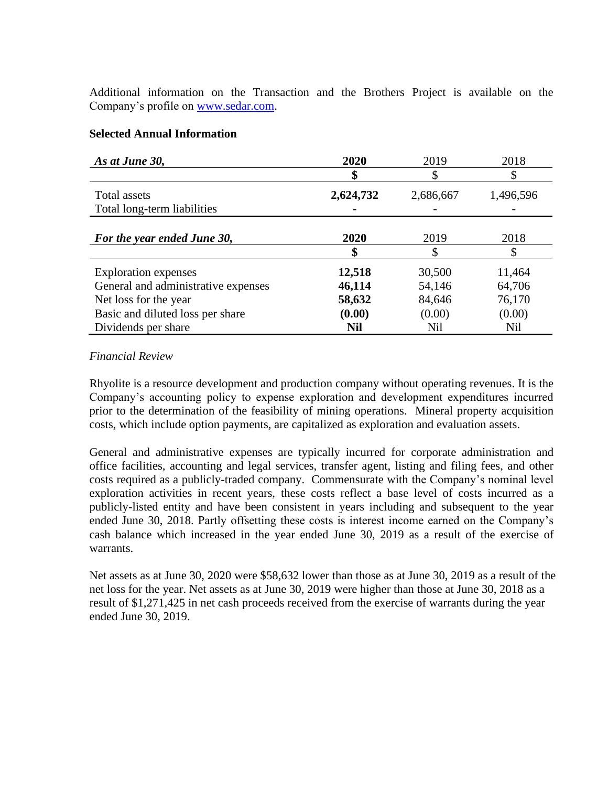Additional information on the Transaction and the Brothers Project is available on the Company's profile on [www.sedar.com.](https://urldefense.proofpoint.com/v2/url?u=https-3A__linkprotect.cudasvc.com_url-3Fa-3Dhttp-253a-252f-252fwww.sedar.com-26c-3DE-2C1-2C6zrKE4fjYRcvCjqcYV3RjmOvm9XwWkelYCP7Y79YTrypA8597oHNDR1indF2sCOO2ML0KVj8aei6qaynHrjd7u2Sjoo2aOXNk-5F0YxSYk1G5nt-5FN3XPm6D2-2DuvIg-2C-26typo-3D1&d=DwMFAg&c=euGZstcaTDllvimEN8b7jXrwqOf-v5A_CdpgnVfiiMM&r=Sl5b0stMJXnNzDfcWveyabOY4xGZN1IJiarG8BclkDE&m=JH3WdJA598BMgonp4tzYpWrAMpMdCnzSxZS0FaQCgwE&s=sSYCnzBzy8RmD3WkT_zwXWuNpaP2sq4fcRIlE5uPjws&e=)

## **Selected Annual Information**

| As at June 30,                              | 2020      | 2019      | 2018      |
|---------------------------------------------|-----------|-----------|-----------|
|                                             |           |           |           |
| Total assets<br>Total long-term liabilities | 2,624,732 | 2,686,667 | 1,496,596 |
|                                             |           |           |           |
| For the year ended June 30,                 | 2020      | 2019      | 2018      |
|                                             | \$        |           | \$        |
| <b>Exploration</b> expenses                 | 12,518    | 30,500    | 11,464    |
| General and administrative expenses         | 46,114    | 54,146    | 64,706    |
| Net loss for the year                       | 58,632    | 84,646    | 76,170    |
| Basic and diluted loss per share            | (0.00)    | (0.00)    | (0.00)    |
| Dividends per share                         | Nil       | Nil       | Nil       |

## *Financial Review*

Rhyolite is a resource development and production company without operating revenues. It is the Company's accounting policy to expense exploration and development expenditures incurred prior to the determination of the feasibility of mining operations. Mineral property acquisition costs, which include option payments, are capitalized as exploration and evaluation assets.

General and administrative expenses are typically incurred for corporate administration and office facilities, accounting and legal services, transfer agent, listing and filing fees, and other costs required as a publicly-traded company. Commensurate with the Company's nominal level exploration activities in recent years, these costs reflect a base level of costs incurred as a publicly-listed entity and have been consistent in years including and subsequent to the year ended June 30, 2018. Partly offsetting these costs is interest income earned on the Company's cash balance which increased in the year ended June 30, 2019 as a result of the exercise of warrants.

Net assets as at June 30, 2020 were \$58,632 lower than those as at June 30, 2019 as a result of the net loss for the year. Net assets as at June 30, 2019 were higher than those at June 30, 2018 as a result of \$1,271,425 in net cash proceeds received from the exercise of warrants during the year ended June 30, 2019.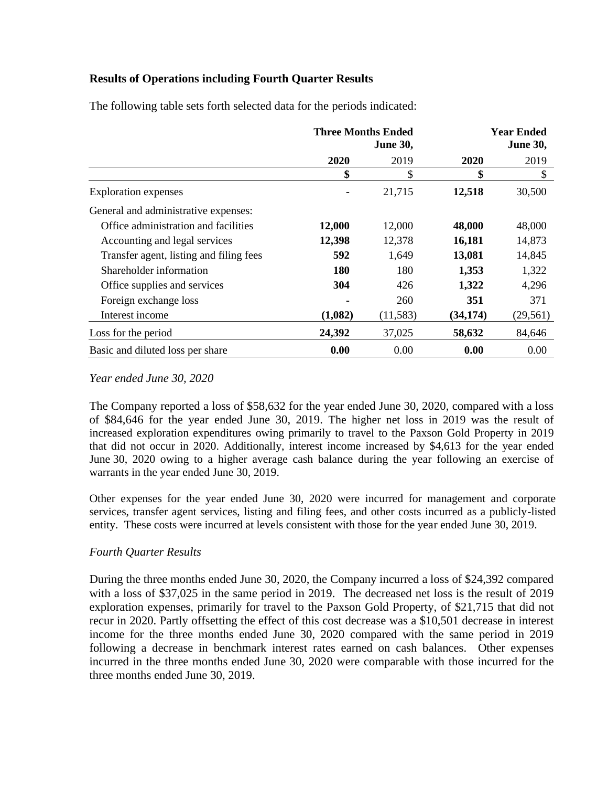# **Results of Operations including Fourth Quarter Results**

|                                         | <b>Three Months Ended</b><br><b>June 30,</b> |           | <b>Year Ended</b><br><b>June 30,</b> |           |
|-----------------------------------------|----------------------------------------------|-----------|--------------------------------------|-----------|
|                                         | 2020                                         | 2019      | 2020                                 | 2019      |
|                                         | \$                                           | \$        | \$                                   | \$        |
| <b>Exploration</b> expenses             |                                              | 21,715    | 12,518                               | 30,500    |
| General and administrative expenses:    |                                              |           |                                      |           |
| Office administration and facilities    | 12,000                                       | 12,000    | 48,000                               | 48,000    |
| Accounting and legal services           | 12,398                                       | 12,378    | 16,181                               | 14,873    |
| Transfer agent, listing and filing fees | 592                                          | 1,649     | 13,081                               | 14,845    |
| Shareholder information                 | <b>180</b>                                   | 180       | 1,353                                | 1,322     |
| Office supplies and services            | 304                                          | 426       | 1,322                                | 4,296     |
| Foreign exchange loss                   |                                              | 260       | 351                                  | 371       |
| Interest income                         | (1,082)                                      | (11, 583) | (34, 174)                            | (29, 561) |
| Loss for the period                     | 24,392                                       | 37,025    | 58,632                               | 84,646    |
| Basic and diluted loss per share        | 0.00                                         | 0.00      | 0.00                                 | 0.00      |

The following table sets forth selected data for the periods indicated:

## *Year ended June 30, 2020*

The Company reported a loss of \$58,632 for the year ended June 30, 2020, compared with a loss of \$84,646 for the year ended June 30, 2019. The higher net loss in 2019 was the result of increased exploration expenditures owing primarily to travel to the Paxson Gold Property in 2019 that did not occur in 2020. Additionally, interest income increased by \$4,613 for the year ended June 30, 2020 owing to a higher average cash balance during the year following an exercise of warrants in the year ended June 30, 2019.

Other expenses for the year ended June 30, 2020 were incurred for management and corporate services, transfer agent services, listing and filing fees, and other costs incurred as a publicly-listed entity. These costs were incurred at levels consistent with those for the year ended June 30, 2019.

# *Fourth Quarter Results*

During the three months ended June 30, 2020, the Company incurred a loss of \$24,392 compared with a loss of \$37,025 in the same period in 2019. The decreased net loss is the result of 2019 exploration expenses, primarily for travel to the Paxson Gold Property, of \$21,715 that did not recur in 2020. Partly offsetting the effect of this cost decrease was a \$10,501 decrease in interest income for the three months ended June 30, 2020 compared with the same period in 2019 following a decrease in benchmark interest rates earned on cash balances. Other expenses incurred in the three months ended June 30, 2020 were comparable with those incurred for the three months ended June 30, 2019.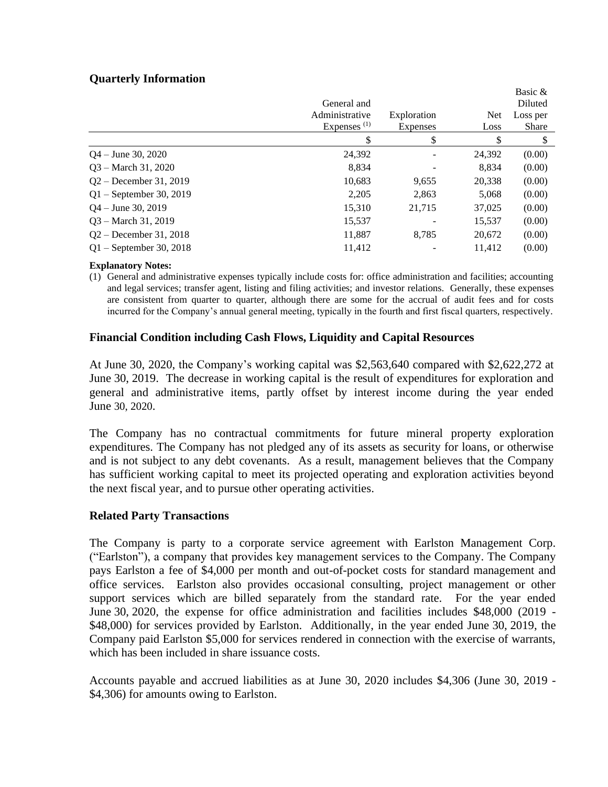## **Quarterly Information**

|                           | General and    |                 |            | Basic &<br>Diluted |
|---------------------------|----------------|-----------------|------------|--------------------|
|                           | Administrative | Exploration     | <b>Net</b> | Loss per           |
|                           | Expenses $(1)$ | <b>Expenses</b> | Loss       | <b>Share</b>       |
|                           | \$             | \$              | \$         |                    |
| $Q_4$ – June 30, 2020     | 24,392         |                 | 24,392     | (0.00)             |
| $Q3 - March 31, 2020$     | 8,834          |                 | 8,834      | (0.00)             |
| $Q2 - December 31, 2019$  | 10,683         | 9,655           | 20,338     | (0.00)             |
| $Q1$ – September 30, 2019 | 2,205          | 2,863           | 5,068      | (0.00)             |
| $Q4 - June 30, 2019$      | 15,310         | 21,715          | 37,025     | (0.00)             |
| $Q3 - March 31, 2019$     | 15,537         |                 | 15,537     | (0.00)             |
| $Q2 - December 31, 2018$  | 11,887         | 8,785           | 20,672     | (0.00)             |
| $Q1 -$ September 30, 2018 | 11.412         |                 | 11.412     | (0.00)             |

#### **Explanatory Notes:**

(1) General and administrative expenses typically include costs for: office administration and facilities; accounting and legal services; transfer agent, listing and filing activities; and investor relations. Generally, these expenses are consistent from quarter to quarter, although there are some for the accrual of audit fees and for costs incurred for the Company's annual general meeting, typically in the fourth and first fiscal quarters, respectively.

## **Financial Condition including Cash Flows, Liquidity and Capital Resources**

At June 30, 2020, the Company's working capital was \$2,563,640 compared with \$2,622,272 at June 30, 2019. The decrease in working capital is the result of expenditures for exploration and general and administrative items, partly offset by interest income during the year ended June 30, 2020.

The Company has no contractual commitments for future mineral property exploration expenditures. The Company has not pledged any of its assets as security for loans, or otherwise and is not subject to any debt covenants. As a result, management believes that the Company has sufficient working capital to meet its projected operating and exploration activities beyond the next fiscal year, and to pursue other operating activities.

#### **Related Party Transactions**

The Company is party to a corporate service agreement with Earlston Management Corp. ("Earlston"), a company that provides key management services to the Company. The Company pays Earlston a fee of \$4,000 per month and out-of-pocket costs for standard management and office services. Earlston also provides occasional consulting, project management or other support services which are billed separately from the standard rate. For the year ended June 30, 2020, the expense for office administration and facilities includes \$48,000 (2019 - \$48,000) for services provided by Earlston. Additionally, in the year ended June 30, 2019, the Company paid Earlston \$5,000 for services rendered in connection with the exercise of warrants, which has been included in share issuance costs.

Accounts payable and accrued liabilities as at June 30, 2020 includes \$4,306 (June 30, 2019 - \$4,306) for amounts owing to Earlston.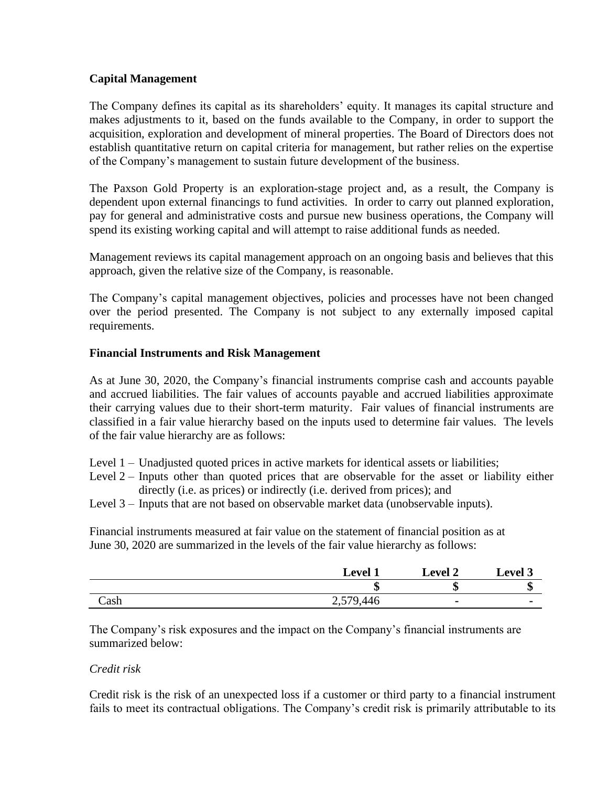## **Capital Management**

The Company defines its capital as its shareholders' equity. It manages its capital structure and makes adjustments to it, based on the funds available to the Company, in order to support the acquisition, exploration and development of mineral properties. The Board of Directors does not establish quantitative return on capital criteria for management, but rather relies on the expertise of the Company's management to sustain future development of the business.

The Paxson Gold Property is an exploration-stage project and, as a result, the Company is dependent upon external financings to fund activities. In order to carry out planned exploration, pay for general and administrative costs and pursue new business operations, the Company will spend its existing working capital and will attempt to raise additional funds as needed.

Management reviews its capital management approach on an ongoing basis and believes that this approach, given the relative size of the Company, is reasonable.

The Company's capital management objectives, policies and processes have not been changed over the period presented. The Company is not subject to any externally imposed capital requirements.

## **Financial Instruments and Risk Management**

As at June 30, 2020, the Company's financial instruments comprise cash and accounts payable and accrued liabilities. The fair values of accounts payable and accrued liabilities approximate their carrying values due to their short-term maturity. Fair values of financial instruments are classified in a fair value hierarchy based on the inputs used to determine fair values. The levels of the fair value hierarchy are as follows:

- Level 1 Unadjusted quoted prices in active markets for identical assets or liabilities;
- Level  $2$  Inputs other than quoted prices that are observable for the asset or liability either directly (i.e. as prices) or indirectly (i.e. derived from prices); and
- Level 3 Inputs that are not based on observable market data (unobservable inputs).

Financial instruments measured at fair value on the statement of financial position as at June 30, 2020 are summarized in the levels of the fair value hierarchy as follows:

|      | <b>Level 1</b> | <b>Level 2</b> | <b>Level 3</b> |
|------|----------------|----------------|----------------|
|      | ۱IJ            | æ<br>۱D        | ۱D             |
| Cash | 2,579,446      |                |                |

The Company's risk exposures and the impact on the Company's financial instruments are summarized below:

## *Credit risk*

Credit risk is the risk of an unexpected loss if a customer or third party to a financial instrument fails to meet its contractual obligations. The Company's credit risk is primarily attributable to its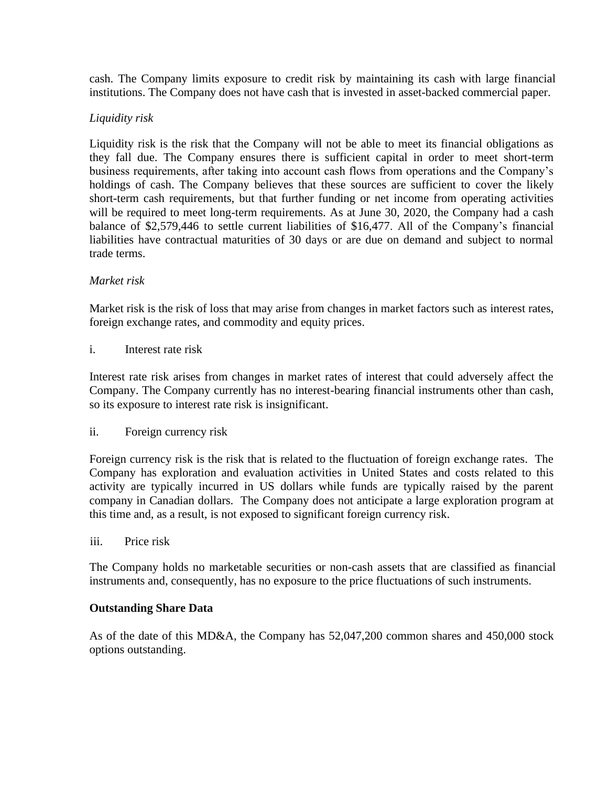cash. The Company limits exposure to credit risk by maintaining its cash with large financial institutions. The Company does not have cash that is invested in asset-backed commercial paper.

## *Liquidity risk*

Liquidity risk is the risk that the Company will not be able to meet its financial obligations as they fall due. The Company ensures there is sufficient capital in order to meet short-term business requirements, after taking into account cash flows from operations and the Company's holdings of cash. The Company believes that these sources are sufficient to cover the likely short-term cash requirements, but that further funding or net income from operating activities will be required to meet long-term requirements. As at June 30, 2020, the Company had a cash balance of \$2,579,446 to settle current liabilities of \$16,477. All of the Company's financial liabilities have contractual maturities of 30 days or are due on demand and subject to normal trade terms.

## *Market risk*

Market risk is the risk of loss that may arise from changes in market factors such as interest rates, foreign exchange rates, and commodity and equity prices.

## i. Interest rate risk

Interest rate risk arises from changes in market rates of interest that could adversely affect the Company. The Company currently has no interest-bearing financial instruments other than cash, so its exposure to interest rate risk is insignificant.

## ii. Foreign currency risk

Foreign currency risk is the risk that is related to the fluctuation of foreign exchange rates. The Company has exploration and evaluation activities in United States and costs related to this activity are typically incurred in US dollars while funds are typically raised by the parent company in Canadian dollars. The Company does not anticipate a large exploration program at this time and, as a result, is not exposed to significant foreign currency risk.

## iii. Price risk

The Company holds no marketable securities or non-cash assets that are classified as financial instruments and, consequently, has no exposure to the price fluctuations of such instruments.

## **Outstanding Share Data**

As of the date of this MD&A, the Company has 52,047,200 common shares and 450,000 stock options outstanding.